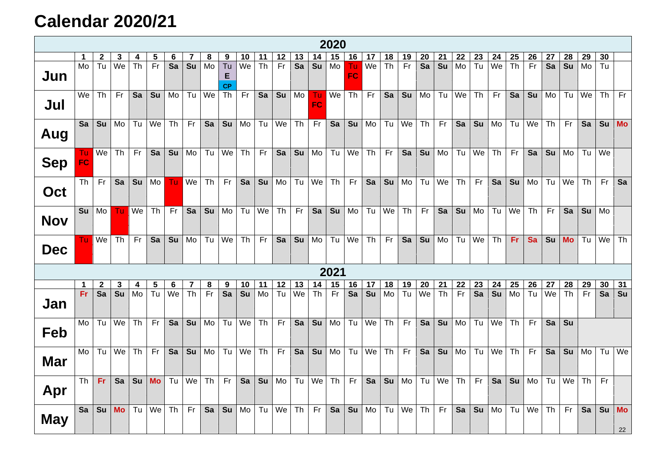## **Calendar 2020/21**

|            | 2020           |                 |              |                        |           |                          |                                   |                  |                                   |                          |           |           |    |                 |           |                  |    |           |           |                 |           |    |                |           |                |           |    |           |    |                |                 |
|------------|----------------|-----------------|--------------|------------------------|-----------|--------------------------|-----------------------------------|------------------|-----------------------------------|--------------------------|-----------|-----------|----|-----------------|-----------|------------------|----|-----------|-----------|-----------------|-----------|----|----------------|-----------|----------------|-----------|----|-----------|----|----------------|-----------------|
|            | $\mathbf 1$    | $\mathbf{2}$    | 3            | 4                      | 5         | 6                        |                                   | 8                | 9                                 | 10                       | 11        | $12$      | 13 | 14              | 15        | 16               | 17 | 18        | 19        | 20              | 21        | 22 | 23             | 24        | 25             | 26        | 27 | 28        | 29 | 30             |                 |
| Jun        | M <sub>o</sub> | $\overline{Tu}$ | We           | $\overline{\text{Th}}$ | Fr        | $\overline{\mathsf{Sa}}$ | $\overline{\mathsf{S}\mathsf{u}}$ | Mo               | $\overline{T}u$<br>E<br><b>CP</b> | $\overline{\mathsf{We}}$ | Th        | Fr        | Sa | Su              | Mo        | Tu.<br><b>FC</b> | We | <b>Th</b> | Fr        | $\overline{Sa}$ | Su        | Mo | T <sub>u</sub> | We        | T <sub>h</sub> | Fr        | Sa | Su        | Mo | T <sub>u</sub> |                 |
| Jul        | We             | Th              | <b>Fr</b>    | Sa                     | Su        | Mo                       | Tu                                | $\overline{w}$ e | Th                                | Fr                       | Sa        | Su        | Mo | Tu<br><b>FC</b> | We        | <b>Th</b>        | Fr | Sa        | Su        | Mo              | Tu        | We | Th             | Fr        | Sa             | Su        | Mo | Tu        | We | Th             | Fr              |
| Aug        | Sa             | Su              | Mo           | Tu                     | We        | <b>Th</b>                | Fr.                               | Sa               | Su                                | Mo                       | Tu        | We        | Th | Fr              | Sa        | Su               | Mo | Tu        | We        | <b>Th</b>       | Fr        | Sa | Su             | Mo        | Tu             | We        | Th | Fr        | Sa | Su             | <b>Mo</b>       |
| <b>Sep</b> | Tu.<br>FC      | We              | <b>Th</b>    | Fr.                    | Sa        | Su                       | Mo                                | Tu               | We                                | Th                       | <b>Fr</b> | Sa        | Su | Mo              | Tu        | We               | Th | Fr        | Sa        | Su              | Mo        | Tu | We             | Th        | Fr             | Sa        | Su | Mo        | Tu | We             |                 |
| Oct        | Th I           | <b>Fr</b>       | <b>Sa</b>    | Su                     | Mo        | Tu.                      | We                                | <b>Th</b>        | Fr                                | Sa                       |           | $Su$ Mo   | Tu | We              | Th        | Fr               | Sa | Su        | Mo        | Tu              | We        | Th | Fr             | Sa        | Su             | Mo        | Tu | We        | Th | Fr             | Sa              |
| <b>Nov</b> | Su             | Mo              | Tu           | We                     | <b>Th</b> | Fr.                      | Sa                                | Su               | Mo                                | Tu                       | We        | <b>Th</b> | Fr | Sa              | Su        | Mo               | Tu | We        | <b>Th</b> | Fr              | Sa        | Su | Mo             | Tu        | We             | <b>Th</b> | Fr | Sa        | Su | Mo             |                 |
| <b>Dec</b> |                | Tu   We         | Th           | Fr                     | Sa        | Su                       | Mo                                | Tu               | We                                | Th                       | Fr        | Sa        | Su | Mo              | Tu        | We               | Th | Fr        | Sa        | Su              | Mo        | Tu | We             | Th        | Fr.            | Sa        | Su | <b>Mo</b> | Tu | We             | Th              |
| 2021       |                |                 |              |                        |           |                          |                                   |                  |                                   |                          |           |           |    |                 |           |                  |    |           |           |                 |           |    |                |           |                |           |    |           |    |                |                 |
|            | $\mathbf 1$    | $\overline{2}$  | $\mathbf{3}$ | 4                      | 5         | 6                        | $\overline{7}$                    | 8                | 9                                 | 10                       | 11        | 12        | 13 | 14              | 15        | 16               | 17 | 18        | 19        | 20              | 21        | 22 | 23             | 24        | 25             | 26        | 27 | 28        | 29 | 30             | 31              |
| Jan        | Fr.            | $\overline{sa}$ | Su           | M <sub>o</sub>         | Tu        | We                       | Th                                | Fr.              | $\overline{Sa}$                   | Su                       | Mo        | Tu        | We | Th              | <b>Fr</b> | Sa               | Su | Mo        | Tu        | We              | <b>Th</b> | Fr | Sa             | <b>Su</b> | Mo             | Tu        | We | Th        | Fr | Sa             | Su              |
| Feb        | Mo             | Tu              | We           | T <sub>h</sub>         | Fr        | Sa                       | Su                                | Mo               | Tu                                | We                       | Th        | Fr        | Sa | Su              | Mo        | Tu               | We | <b>Th</b> | Fr.       | Sa              | Su        | Mo | Tu             | We        | Th             | Fr        | Sa | Su        |    |                |                 |
| <b>Mar</b> | Mo             | Tu              | We           | <b>Th</b>              | Fr        | Sa                       | Su                                | Mo               | Tu                                | We                       | Th        | Fr        | Sa | Su              | Mo        | Tu               | We | <b>Th</b> | Fr        | Sa              | Su        | Mo | Tu             | We        | Th             | Fr        | Sa | Su        | Mo | Tu             | We              |
| Apr        | Th             | Fr.             | Sa           | Su                     | <b>Mo</b> | Tu                       | We                                | Th               | Fr                                | Sa                       | Su        | Mo        | Tu | We              | Th        | Fr.              | Sa | Su        | Mo        | Tu              | We        | Th | Fr             | Sa        | Su             | Mo        | Tu | We        | Th | Fr             |                 |
| <b>May</b> | Sa             | Su              | <b>Mo</b>    | Tu                     | We        | Th                       | Fr                                | Sa               | Su                                | Mo                       | Tu        | We        | Th | Fr              | Sa        | Su               | Mo | Tu        | We        | Th              | Fr        | Sa | Su             | Mo        | Tu             | We        | Th | Fr        | Sa | Su             | <b>Mo</b><br>22 |